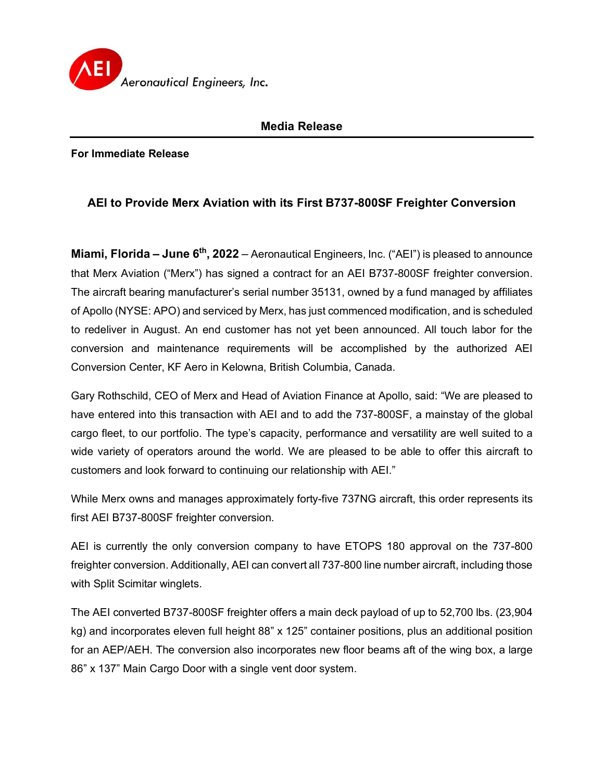

## **Media Release**

**For Immediate Release**

## **AEI to Provide Merx Aviation with its First B737-800SF Freighter Conversion**

**Miami, Florida – June 6th, 2022** – Aeronautical Engineers, Inc. ("AEI") is pleased to announce that Merx Aviation ("Merx") has signed a contract for an AEI B737-800SF freighter conversion. The aircraft bearing manufacturer's serial number 35131, owned by a fund managed by affiliates of Apollo (NYSE: APO) and serviced by Merx, has just commenced modification, and is scheduled to redeliver in August. An end customer has not yet been announced. All touch labor for the conversion and maintenance requirements will be accomplished by the authorized AEI Conversion Center, KF Aero in Kelowna, British Columbia, Canada.

Gary Rothschild, CEO of Merx and Head of Aviation Finance at Apollo, said: "We are pleased to have entered into this transaction with AEI and to add the 737-800SF, a mainstay of the global cargo fleet, to our portfolio. The type's capacity, performance and versatility are well suited to a wide variety of operators around the world. We are pleased to be able to offer this aircraft to customers and look forward to continuing our relationship with AEI."

While Merx owns and manages approximately forty-five 737NG aircraft, this order represents its first AEI B737-800SF freighter conversion.

AEI is currently the only conversion company to have ETOPS 180 approval on the 737-800 freighter conversion. Additionally, AEI can convert all 737-800 line number aircraft, including those with Split Scimitar winglets.

The AEI converted B737-800SF freighter offers a main deck payload of up to 52,700 lbs. (23,904 kg) and incorporates eleven full height 88" x 125" container positions, plus an additional position for an AEP/AEH. The conversion also incorporates new floor beams aft of the wing box, a large 86" x 137" Main Cargo Door with a single vent door system.